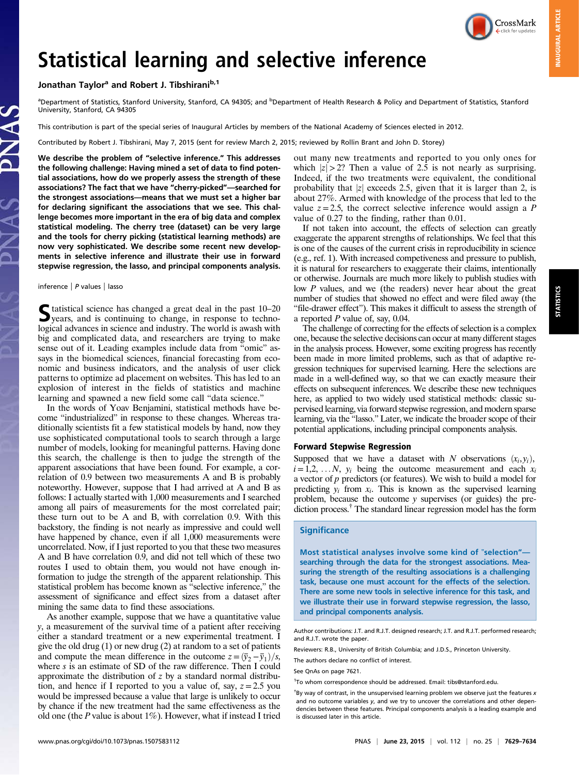# Statistical learning and selective inference

# Jonathan Taylor<sup>a</sup> and Robert J. Tibshirani<sup>b,1</sup>

<sup>a</sup>Department of Statistics, Stanford University, Stanford, CA 94305; and <sup>b</sup>Department of Health Research & Policy and Department of Statistics, Stanford University, Stanford, CA 94305

This contribution is part of the special series of Inaugural Articles by members of the National Academy of Sciences elected in 2012.

Contributed by Robert J. Tibshirani, May 7, 2015 (sent for review March 2, 2015; reviewed by Rollin Brant and John D. Storey)

We describe the problem of "selective inference." This addresses the following challenge: Having mined a set of data to find potential associations, how do we properly assess the strength of these associations? The fact that we have "cherry-picked"—searched for the strongest associations—means that we must set a higher bar for declaring significant the associations that we see. This challenge becomes more important in the era of big data and complex statistical modeling. The cherry tree (dataset) can be very large and the tools for cherry picking (statistical learning methods) are now very sophisticated. We describe some recent new developments in selective inference and illustrate their use in forward stepwise regression, the lasso, and principal components analysis.

inference | P values | lasso

Statistical science has changed a great deal in the past 10–20 years, and is continuing to change, in response to technological advances in science and industry. The world is awash with big and complicated data, and researchers are trying to make sense out of it. Leading examples include data from "omic" assays in the biomedical sciences, financial forecasting from economic and business indicators, and the analysis of user click patterns to optimize ad placement on websites. This has led to an explosion of interest in the fields of statistics and machine learning and spawned a new field some call "data science."

In the words of Yoav Benjamini, statistical methods have become "industrialized" in response to these changes. Whereas traditionally scientists fit a few statistical models by hand, now they use sophisticated computational tools to search through a large number of models, looking for meaningful patterns. Having done this search, the challenge is then to judge the strength of the apparent associations that have been found. For example, a correlation of 0.9 between two measurements A and B is probably noteworthy. However, suppose that I had arrived at A and B as follows: I actually started with 1,000 measurements and I searched among all pairs of measurements for the most correlated pair; these turn out to be A and B, with correlation 0.9. With this backstory, the finding is not nearly as impressive and could well have happened by chance, even if all 1,000 measurements were uncorrelated. Now, if I just reported to you that these two measures A and B have correlation 0.9, and did not tell which of these two routes I used to obtain them, you would not have enough information to judge the strength of the apparent relationship. This statistical problem has become known as "selective inference," the assessment of significance and effect sizes from a dataset after mining the same data to find these associations.

As another example, suppose that we have a quantitative value y, a measurement of the survival time of a patient after receiving either a standard treatment or a new experimental treatment. I give the old drug (1) or new drug (2) at random to a set of patients and compute the mean difference in the outcome  $z = (\bar{y}_2 - \bar{y}_1)/s$ , where s is an estimate of SD of the raw difference. Then I could approximate the distribution of z by a standard normal distribution, and hence if I reported to you a value of, say,  $z = 2.5$  you would be impressed because a value that large is unlikely to occur by chance if the new treatment had the same effectiveness as the old one (the P value is about  $1\%$ ). However, what if instead I tried out many new treatments and reported to you only ones for which  $|z| > 2$ ? Then a value of 2.5 is not nearly as surprising. Indeed, if the two treatments were equivalent, the conditional probability that  $|z|$  exceeds 2.5, given that it is larger than 2, is about 27%. Armed with knowledge of the process that led to the value  $z = 2.5$ , the correct selective inference would assign a P value of 0.27 to the finding, rather than 0.01.

If not taken into account, the effects of selection can greatly exaggerate the apparent strengths of relationships. We feel that this is one of the causes of the current crisis in reproducibility in science (e.g., ref. 1). With increased competiveness and pressure to publish, it is natural for researchers to exaggerate their claims, intentionally or otherwise. Journals are much more likely to publish studies with low P values, and we (the readers) never hear about the great number of studies that showed no effect and were filed away (the "file-drawer effect"). This makes it difficult to assess the strength of a reported P value of, say, 0.04.

The challenge of correcting for the effects of selection is a complex one, because the selective decisions can occur at many different stages in the analysis process. However, some exciting progress has recently been made in more limited problems, such as that of adaptive regression techniques for supervised learning. Here the selections are made in a well-defined way, so that we can exactly measure their effects on subsequent inferences. We describe these new techniques here, as applied to two widely used statistical methods: classic supervised learning, via forward stepwise regression, and modern sparse learning, via the "lasso." Later, we indicate the broader scope of their potential applications, including principal components analysis.

### Forward Stepwise Regression

Supposed that we have a dataset with N observations  $(x_i, y_i)$ ,  $i=1,2,\ldots N$ ,  $y_i$  being the outcome measurement and each  $x_i$ a vector of p predictors (or features). We wish to build a model for predicting  $y_i$  from  $x_i$ . This is known as the supervised learning problem, because the outcome y supervises (or guides) the prediction process.† The standard linear regression model has the form

## **Significance**

Most statistical analyses involve some kind of "selection" searching through the data for the strongest associations. Measuring the strength of the resulting associations is a challenging task, because one must account for the effects of the selection. There are some new tools in selective inference for this task, and we illustrate their use in forward stepwise regression, the lasso, and principal components analysis.

Author contributions: J.T. and R.J.T. designed research; J.T. and R.J.T. performed research; and R.J.T. wrote the paper.

Reviewers: R.B., University of British Columbia; and J.D.S., Princeton University.

The authors declare no conflict of interest.

See QnAs on page 7621.

<sup>1</sup>To whom correspondence should be addressed. Email: [tibs@stanford.edu](mailto:tibs@stanford.edu).



<sup>&</sup>lt;sup>+</sup>By way of contrast, in the unsupervised learning problem we observe just the features x and no outcome variables  $v$ , and we try to uncover the correlations and other dependencies between these features. Principal components analysis is a leading example and is discussed later in this article.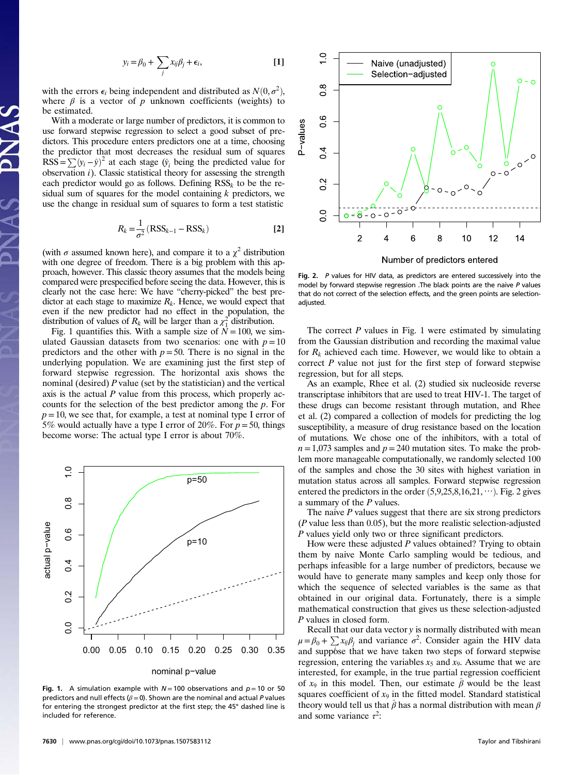$$
y_i = \beta_0 + \sum_j x_{ij} \beta_j + \epsilon_i, \qquad [1]
$$

with the errors  $\epsilon_i$  being independent and distributed as  $N(0, \sigma^2)$ , where  $\beta$  is a vector of p unknown coefficients (weights) to be estimated.

With a moderate or large number of predictors, it is common to use forward stepwise regression to select a good subset of predictors. This procedure enters predictors one at a time, choosing the predictor that most decreases the residual sum of squares  $RSS = \sum (y_i - \hat{y})^2$  at each stage ( $\hat{y}_i$  being the predicted value for observation  $i$ ). Classic statistical theory for assessing the strength each predictor would go as follows. Defining  $RSS_{k}$  to be the residual sum of squares for the model containing  $k$  predictors, we use the change in residual sum of squares to form a test statistic

$$
R_k = \frac{1}{\sigma^2} (\text{RSS}_{k-1} - \text{RSS}_k)
$$
 [2]

(with  $\sigma$  assumed known here), and compare it to a  $\chi^2$  distribution with one degree of freedom. There is a big problem with this approach, however. This classic theory assumes that the models being compared were prespecified before seeing the data. However, this is clearly not the case here: We have "cherry-picked" the best predictor at each stage to maximize  $R_k$ . Hence, we would expect that even if the new predictor had no effect in the population, the distribution of values of  $R_k$  will be larger than a  $\chi_1^2$  distribution.

Fig. 1 quantifies this. With a sample size of  $N = 100$ , we simulated Gaussian datasets from two scenarios: one with  $p=10$ predictors and the other with  $p = 50$ . There is no signal in the underlying population. We are examining just the first step of forward stepwise regression. The horizontal axis shows the nominal (desired)  $P$  value (set by the statistician) and the vertical axis is the actual  $P$  value from this process, which properly accounts for the selection of the best predictor among the p. For  $p=10$ , we see that, for example, a test at nominal type I error of 5% would actually have a type I error of 20%. For  $p = 50$ , things become worse: The actual type I error is about 70%.



Fig. 1. A simulation example with  $N = 100$  observations and  $p = 10$  or 50 predictors and null effects ( $\beta = 0$ ). Shown are the nominal and actual P values for entering the strongest predictor at the first step; the 45° dashed line is included for reference.



Fig. 2. P values for HIV data, as predictors are entered successively into the model by forward stepwise regression .The black points are the naive P values that do not correct of the selection effects, and the green points are selectionadiusted.

The correct  $P$  values in Fig. 1 were estimated by simulating from the Gaussian distribution and recording the maximal value for  $R_k$  achieved each time. However, we would like to obtain a correct  $P$  value not just for the first step of forward stepwise regression, but for all steps.

As an example, Rhee et al. (2) studied six nucleoside reverse transcriptase inhibitors that are used to treat HIV-1. The target of these drugs can become resistant through mutation, and Rhee et al. (2) compared a collection of models for predicting the log susceptibility, a measure of drug resistance based on the location of mutations. We chose one of the inhibitors, with a total of  $n=1,073$  samples and  $p=240$  mutation sites. To make the problem more manageable computationally, we randomly selected 100 of the samples and chose the 30 sites with highest variation in mutation status across all samples. Forward stepwise regression entered the predictors in the order  $(5,9,25,8,16,21, \dots)$ . Fig. 2 gives a summary of the P values.

The naive  $P$  values suggest that there are six strong predictors (P value less than 0.05), but the more realistic selection-adjusted P values yield only two or three significant predictors.

How were these adjusted  $P$  values obtained? Trying to obtain them by naive Monte Carlo sampling would be tedious, and perhaps infeasible for a large number of predictors, because we would have to generate many samples and keep only those for which the sequence of selected variables is the same as that obtained in our original data. Fortunately, there is a simple mathematical construction that gives us these selection-adjusted P values in closed form.

Recall that our data vector y is normally distributed with mean  $\mu = \beta_0 + \sum x_{ij}\beta_j$  and variance  $\sigma^2$ . Consider again the HIV data and suppose that we have taken two steps of forward stepwise regression, entering the variables  $x_5$  and  $x_9$ . Assume that we are interested, for example, in the true partial regression coefficient of  $x_9$  in this model. Then, our estimate  $\beta$  would be the least squares coefficient of  $x_9$  in the fitted model. Standard statistical theory would tell us that  $\hat{\beta}$  has a normal distribution with mean  $\beta$ and some variance  $\tau^2$ :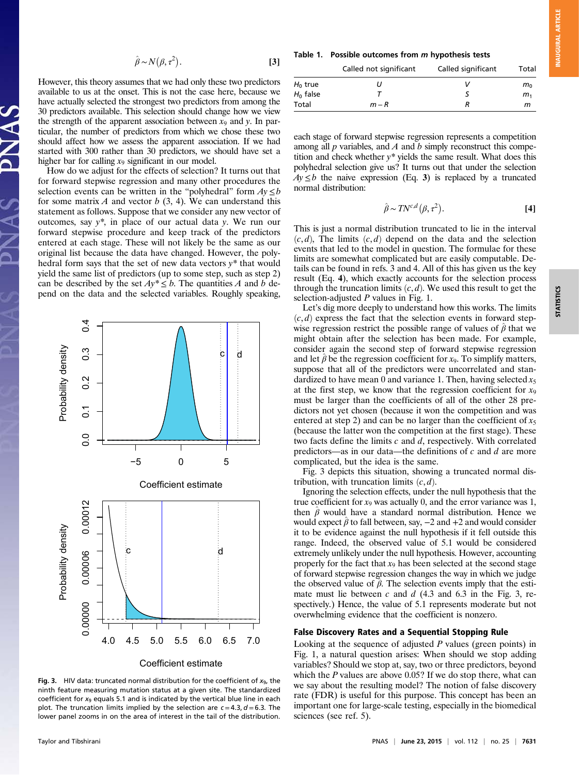$$
\hat{\beta} \sim N(\beta, \tau^2). \tag{3}
$$

However, this theory assumes that we had only these two predictors available to us at the onset. This is not the case here, because we have actually selected the strongest two predictors from among the 30 predictors available. This selection should change how we view the strength of the apparent association between  $x_9$  and y. In particular, the number of predictors from which we chose these two should affect how we assess the apparent association. If we had started with 300 rather than 30 predictors, we should have set a higher bar for calling  $x_9$  significant in our model.

How do we adjust for the effects of selection? It turns out that for forward stepwise regression and many other procedures the selection events can be written in the "polyhedral" form  $Ay \le b$ for some matrix A and vector  $b(3, 4)$ . We can understand this statement as follows. Suppose that we consider any new vector of outcomes, say y\*, in place of our actual data y. We run our forward stepwise procedure and keep track of the predictors entered at each stage. These will not likely be the same as our original list because the data have changed. However, the polyhedral form says that the set of new data vectors  $y^*$  that would yield the same list of predictors (up to some step, such as step 2) can be described by the set  $Ay^* \leq b$ . The quantities A and b depend on the data and the selected variables. Roughly speaking,



Coefficient estimate

Fig. 3. HIV data: truncated normal distribution for the coefficient of  $x_9$ , the ninth feature measuring mutation status at a given site. The standardized coefficient for  $x_9$  equals 5.1 and is indicated by the vertical blue line in each plot. The truncation limits implied by the selection are  $c = 4.3$ ,  $d = 6.3$ . The lower panel zooms in on the area of interest in the tail of the distribution.

Table 1. Possible outcomes from m hypothesis tests

|             | Called not significant | Called significant | Total          |
|-------------|------------------------|--------------------|----------------|
| $H_0$ true  |                        |                    | m <sub>0</sub> |
| $H_0$ false |                        |                    | m <sub>1</sub> |
| Total       | $m - R$                |                    | m              |

each stage of forward stepwise regression represents a competition among all  $p$  variables, and  $A$  and  $b$  simply reconstruct this competition and check whether y\* yields the same result. What does this polyhedral selection give us? It turns out that under the selection  $Ay \leq b$  the naive expression (Eq. 3) is replaced by a truncated normal distribution:

$$
\hat{\beta} \sim TN^{c,d}(\beta, \tau^2). \tag{4}
$$

This is just a normal distribution truncated to lie in the interval  $(c, d)$ , The limits  $(c, d)$  depend on the data and the selection events that led to the model in question. The formulae for these limits are somewhat complicated but are easily computable. Details can be found in refs. 3 and 4. All of this has given us the key result (Eq. 4), which exactly accounts for the selection process through the truncation limits  $(c, d)$ . We used this result to get the selection-adjusted *P* values in Fig. 1.

Let's dig more deeply to understand how this works. The limits  $(c, d)$  express the fact that the selection events in forward stepwise regression restrict the possible range of values of  $\hat{\beta}$  that we might obtain after the selection has been made. For example, consider again the second step of forward stepwise regression and let  $\hat{\beta}$  be the regression coefficient for x9. To simplify matters, suppose that all of the predictors were uncorrelated and standardized to have mean 0 and variance 1. Then, having selected  $x_5$ at the first step, we know that the regression coefficient for  $x_9$ must be larger than the coefficients of all of the other 28 predictors not yet chosen (because it won the competition and was entered at step 2) and can be no larger than the coefficient of  $x_5$ (because the latter won the competition at the first stage). These two facts define the limits  $c$  and  $d$ , respectively. With correlated predictors—as in our data—the definitions of  $c$  and  $d$  are more complicated, but the idea is the same.

Fig. 3 depicts this situation, showing a truncated normal distribution, with truncation limits  $(c, d)$ .

Ignoring the selection effects, under the null hypothesis that the true coefficient for  $x_9$  was actually 0, and the error variance was 1, then  $\hat{\beta}$  would have a standard normal distribution. Hence we would expect  $\hat{\beta}$  to fall between, say,  $-2$  and +2 and would consider it to be evidence against the null hypothesis if it fell outside this range. Indeed, the observed value of 5.1 would be considered extremely unlikely under the null hypothesis. However, accounting properly for the fact that  $x_9$  has been selected at the second stage of forward stepwise regression changes the way in which we judge the observed value of  $\beta$ . The selection events imply that the estimate must lie between  $c$  and  $d$  (4.3 and 6.3 in the Fig. 3, respectively.) Hence, the value of 5.1 represents moderate but not overwhelming evidence that the coefficient is nonzero.

#### False Discovery Rates and a Sequential Stopping Rule

Looking at the sequence of adjusted  $P$  values (green points) in Fig. 1, a natural question arises: When should we stop adding variables? Should we stop at, say, two or three predictors, beyond which the  $P$  values are above 0.05? If we do stop there, what can we say about the resulting model? The notion of false discovery rate (FDR) is useful for this purpose. This concept has been an important one for large-scale testing, especially in the biomedical sciences (see ref. 5).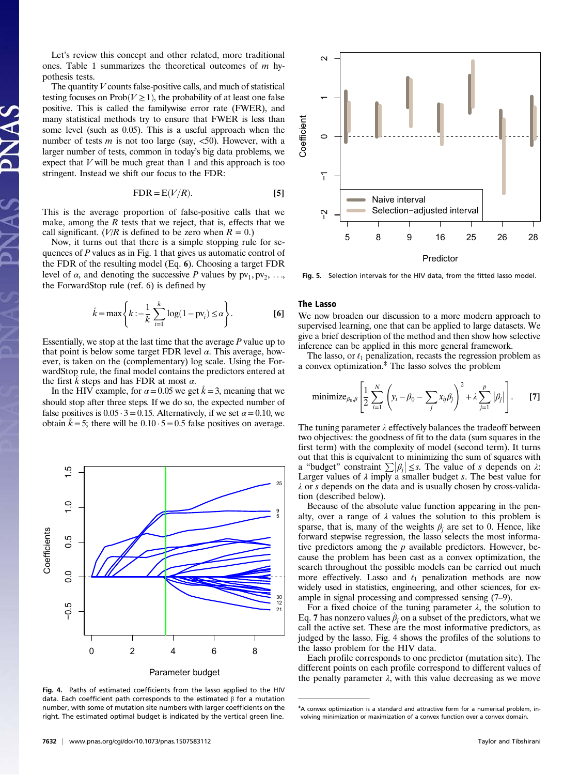Let's review this concept and other related, more traditional ones. Table 1 summarizes the theoretical outcomes of  $m$  hypothesis tests.

The quantity  $V$  counts false-positive calls, and much of statistical testing focuses on  $Prob(V \ge 1)$ , the probability of at least one false positive. This is called the familywise error rate (FWER), and many statistical methods try to ensure that FWER is less than some level (such as 0.05). This is a useful approach when the number of tests m is not too large (say,  $\lt 50$ ). However, with a larger number of tests, common in today's big data problems, we expect that  $V$  will be much great than 1 and this approach is too stringent. Instead we shift our focus to the FDR:

$$
FDR = E(V/R). \tag{5}
$$

This is the average proportion of false-positive calls that we make, among the  $R$  tests that we reject, that is, effects that we call significant. ( $V/R$  is defined to be zero when  $R = 0$ .)

Now, it turns out that there is a simple stopping rule for sequences of  $P$  values as in Fig. 1 that gives us automatic control of the FDR of the resulting model (Eq. 6). Choosing a target FDR level of  $\alpha$ , and denoting the successive P values by  $pv_1, pv_2, \ldots$ , the ForwardStop rule (ref. 6) is defined by

$$
\hat{k} = \max\left\{k : -\frac{1}{k} \sum_{i=1}^{k} \log(1 - \text{pv}_i) \le \alpha\right\}.
$$
 [6]

Essentially, we stop at the last time that the average  $P$  value up to that point is below some target FDR level  $\alpha$ . This average, however, is taken on the (complementary) log scale. Using the ForwardStop rule, the final model contains the predictors entered at the first  $k$  steps and has FDR at most  $\alpha$ .

In the HIV example, for  $\alpha = 0.05$  we get  $\ddot{k} = 3$ , meaning that we should stop after three steps. If we do so, the expected number of false positives is  $0.05 \cdot 3 = 0.15$ . Alternatively, if we set  $\alpha = 0.10$ , we obtain  $\hat{k} = 5$ ; there will be  $0.10 \cdot 5 = 0.5$  false positives on average.



Fig. 4. Paths of estimated coefficients from the lasso applied to the HIV data. Each coefficient path corresponds to the estimated β for a mutation number, with some of mutation site numbers with larger coefficients on the right. The estimated optimal budget is indicated by the vertical green line.



Fig. 5. Selection intervals for the HIV data, from the fitted lasso model.

#### The Lasso

We now broaden our discussion to a more modern approach to supervised learning, one that can be applied to large datasets. We give a brief description of the method and then show how selective inference can be applied in this more general framework.

The lasso, or  $\ell_1$  penalization, recasts the regression problem as a convex optimization.‡ The lasso solves the problem

$$
\text{minimize}_{\beta_0, \beta} \left[ \frac{1}{2} \sum_{i=1}^N \left( y_i - \beta_0 - \sum_j x_{ij} \beta_j \right)^2 + \lambda \sum_{j=1}^P |\beta_j| \right]. \tag{7}
$$

The tuning parameter  $\lambda$  effectively balances the tradeoff between two objectives: the goodness of fit to the data (sum squares in the first term) with the complexity of model (second term). It turns out that this is equivalent to minimizing the sum of squares with a "budget" constraint  $\sum |\beta_j| \leq s$ . The value of s depends on  $\lambda$ : Larger values of  $\lambda$  imply a smaller budget s. The best value for λ or s depends on the data and is usually chosen by cross-validation (described below).

Because of the absolute value function appearing in the penalty, over a range of  $\lambda$  values the solution to this problem is sparse, that is, many of the weights  $\beta_i$  are set to 0. Hence, like forward stepwise regression, the lasso selects the most informative predictors among the  $p$  available predictors. However, because the problem has been cast as a convex optimization, the search throughout the possible models can be carried out much more effectively. Lasso and  $\ell_1$  penalization methods are now widely used in statistics, engineering, and other sciences, for example in signal processing and compressed sensing (7–9).

For a fixed choice of the tuning parameter  $\lambda$ , the solution to Eq. 7 has nonzero values  $\hat{\beta}_i$  on a subset of the predictors, what we call the active set. These are the most informative predictors, as judged by the lasso. Fig. 4 shows the profiles of the solutions to the lasso problem for the HIV data.

Each profile corresponds to one predictor (mutation site). The different points on each profile correspond to different values of the penalty parameter  $\lambda$ , with this value decreasing as we move

<sup>‡</sup> A convex optimization is a standard and attractive form for a numerical problem, involving minimization or maximization of a convex function over a convex domain.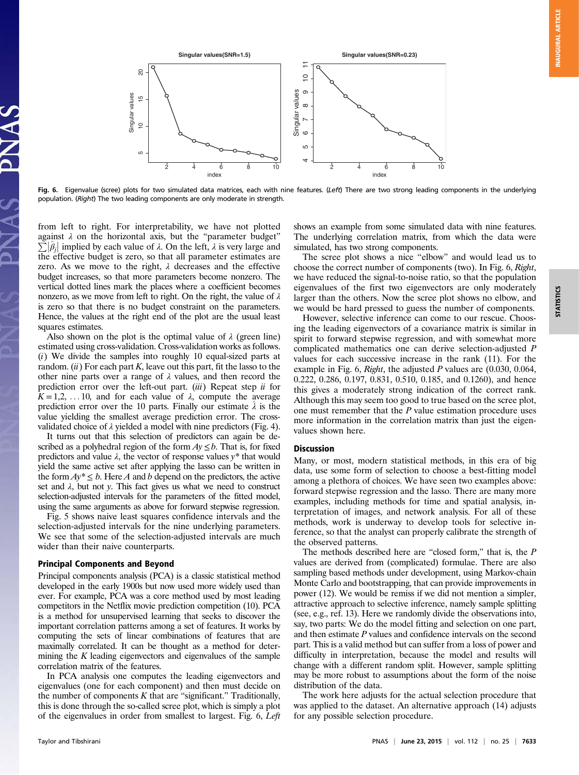

Fig. 6. Eigenvalue (scree) plots for two simulated data matrices, each with nine features. (Left) There are two strong leading components in the underlying population. (Right) The two leading components are only moderate in strength.

from left to right. For interpretability, we have not plotted against  $\lambda$  on the horizontal axis, but the "parameter budget"  $\sum_{i=1}^{\infty} |\hat{\beta}_i|$  implied by each value of  $\lambda$ . On the left,  $\lambda$  is very large and the effective budget is zero, so that all parameter estimates are zero. As we move to the right,  $\lambda$  decreases and the effective budget increases, so that more parameters become nonzero. The vertical dotted lines mark the places where a coefficient becomes nonzero, as we move from left to right. On the right, the value of  $\lambda$ is zero so that there is no budget constraint on the parameters. Hence, the values at the right end of the plot are the usual least squares estimates.

Also shown on the plot is the optimal value of  $\lambda$  (green line) estimated using cross-validation. Cross-validation works as follows.  $(i)$  We divide the samples into roughly 10 equal-sized parts at random.  $(ii)$  For each part K, leave out this part, fit the lasso to the other nine parts over a range of  $\lambda$  values, and then record the prediction error over the left-out part.  $(iii)$  Repeat step  $ii$  for  $K = 1, 2, \ldots 10$ , and for each value of  $\lambda$ , compute the average prediction error over the 10 parts. Finally our estimate  $\lambda$  is the value yielding the smallest average prediction error. The crossvalidated choice of  $\lambda$  yielded a model with nine predictors (Fig. 4).

It turns out that this selection of predictors can again be described as a polyhedral region of the form  $Ay \leq b$ . That is, for fixed predictors and value  $\lambda$ , the vector of response values  $y^*$  that would yield the same active set after applying the lasso can be written in the form  $Ay^* \leq b$ . Here A and b depend on the predictors, the active set and  $\lambda$ , but not y. This fact gives us what we need to construct selection-adjusted intervals for the parameters of the fitted model, using the same arguments as above for forward stepwise regression.

Fig. 5 shows naive least squares confidence intervals and the selection-adjusted intervals for the nine underlying parameters. We see that some of the selection-adjusted intervals are much wider than their naive counterparts.

#### Principal Components and Beyond

Principal components analysis (PCA) is a classic statistical method developed in the early 1900s but now used more widely used than ever. For example, PCA was a core method used by most leading competitors in the Netflix movie prediction competition (10). PCA is a method for unsupervised learning that seeks to discover the important correlation patterns among a set of features. It works by computing the sets of linear combinations of features that are maximally correlated. It can be thought as a method for determining the  $K$  leading eigenvectors and eigenvalues of the sample correlation matrix of the features.

In PCA analysis one computes the leading eigenvectors and eigenvalues (one for each component) and then must decide on the number of components  $K$  that are "significant." Traditionally, this is done through the so-called scree plot, which is simply a plot of the eigenvalues in order from smallest to largest. Fig. 6, Left shows an example from some simulated data with nine features. The underlying correlation matrix, from which the data were simulated, has two strong components.

The scree plot shows a nice "elbow" and would lead us to choose the correct number of components (two). In Fig. 6, Right, we have reduced the signal-to-noise ratio, so that the population eigenvalues of the first two eigenvectors are only moderately larger than the others. Now the scree plot shows no elbow, and we would be hard pressed to guess the number of components.

However, selective inference can come to our rescue. Choosing the leading eigenvectors of a covariance matrix is similar in spirit to forward stepwise regression, and with somewhat more complicated mathematics one can derive selection-adjusted P values for each successive increase in the rank (11). For the example in Fig. 6, Right, the adjusted P values are (0.030, 0.064, 0.222, 0.286, 0.197, 0.831, 0.510, 0.185, and 0.1260), and hence this gives a moderately strong indication of the correct rank. Although this may seem too good to true based on the scree plot, one must remember that the P value estimation procedure uses more information in the correlation matrix than just the eigenvalues shown here.

#### Discussion

Many, or most, modern statistical methods, in this era of big data, use some form of selection to choose a best-fitting model among a plethora of choices. We have seen two examples above: forward stepwise regression and the lasso. There are many more examples, including methods for time and spatial analysis, interpretation of images, and network analysis. For all of these methods, work is underway to develop tools for selective inference, so that the analyst can properly calibrate the strength of the observed patterns.

The methods described here are "closed form," that is, the P values are derived from (complicated) formulae. There are also sampling based methods under development, using Markov-chain Monte Carlo and bootstrapping, that can provide improvements in power (12). We would be remiss if we did not mention a simpler, attractive approach to selective inference, namely sample splitting (see, e.g., ref. 13). Here we randomly divide the observations into, say, two parts: We do the model fitting and selection on one part, and then estimate P values and confidence intervals on the second part. This is a valid method but can suffer from a loss of power and difficulty in interpretation, because the model and results will change with a different random split. However, sample splitting may be more robust to assumptions about the form of the noise distribution of the data.

The work here adjusts for the actual selection procedure that was applied to the dataset. An alternative approach (14) adjusts for any possible selection procedure.